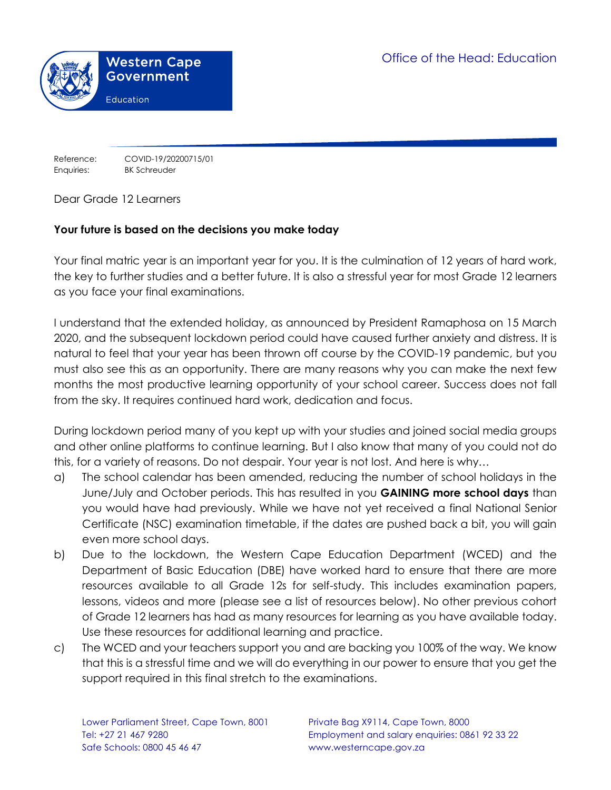

Reference: COVID-19/20200715/01 Enquiries: BK Schreuder

Dear Grade 12 Learners

### **Your future is based on the decisions you make today**

Your final matric year is an important year for you. It is the culmination of 12 years of hard work, the key to further studies and a better future. It is also a stressful year for most Grade 12 learners as you face your final examinations.

I understand that the extended holiday, as announced by President Ramaphosa on 15 March 2020, and the subsequent lockdown period could have caused further anxiety and distress. It is natural to feel that your year has been thrown off course by the COVID-19 pandemic, but you must also see this as an opportunity. There are many reasons why you can make the next few months the most productive learning opportunity of your school career. Success does not fall from the sky. It requires continued hard work, dedication and focus.

During lockdown period many of you kept up with your studies and joined social media groups and other online platforms to continue learning. But I also know that many of you could not do this, for a variety of reasons. Do not despair. Your year is not lost. And here is why…

- a) The school calendar has been amended, reducing the number of school holidays in the June/July and October periods. This has resulted in you **GAINING more school days** than you would have had previously. While we have not yet received a final National Senior Certificate (NSC) examination timetable, if the dates are pushed back a bit, you will gain even more school days.
- b) Due to the lockdown, the Western Cape Education Department (WCED) and the Department of Basic Education (DBE) have worked hard to ensure that there are more resources available to all Grade 12s for self-study. This includes examination papers, lessons, videos and more (please see a list of resources below). No other previous cohort of Grade 12 learners has had as many resources for learning as you have available today. Use these resources for additional learning and practice.
- c) The WCED and your teachers support you and are backing you 100% of the way. We know that this is a stressful time and we will do everything in our power to ensure that you get the support required in this final stretch to the examinations.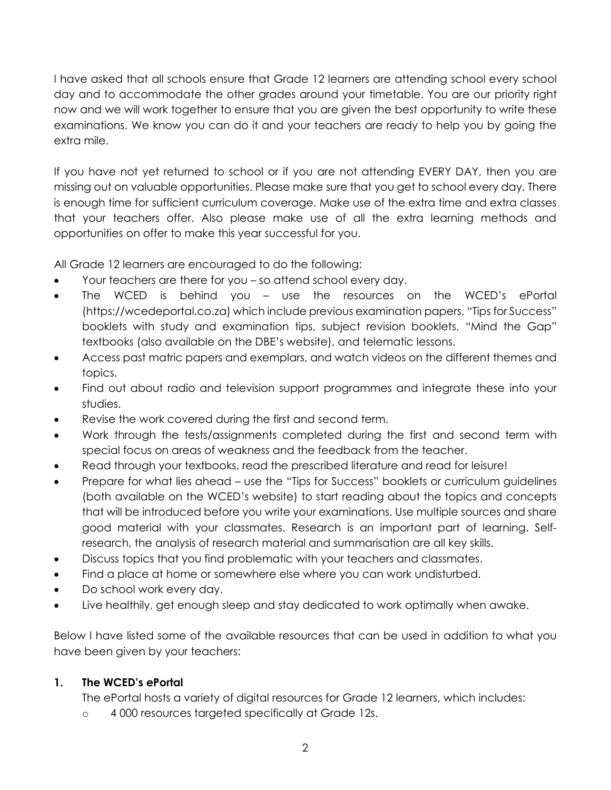I have asked that all schools ensure that Grade 12 learners are attending school every school day and to accommodate the other grades around your timetable. You are our priority right now and we will work together to ensure that you are given the best opportunity to write these examinations. We know you can do it and your teachers are ready to help you by going the extra mile.

If you have not yet returned to school or if you are not attending EVERY DAY, then you are missing out on valuable opportunities. Please make sure that you get to school every day. There is enough time for sufficient curriculum coverage. Make use of the extra time and extra classes that your teachers offer. Also please make use of all the extra learning methods and opportunities on offer to make this year successful for you.

All Grade 12 learners are encouraged to do the following:

- Your teachers are there for you so attend school every day.
- The WCED is behind you use the resources on the WCED's ePortal (https://wcedeportal.co.za) which include previous examination papers, "Tips for Success" booklets with study and examination tips, subject revision booklets, "Mind the Gap" textbooks (also available on the DBE's website), and telematic lessons.
- Access past matric papers and exemplars, and watch videos on the different themes and topics.
- Find out about radio and television support programmes and integrate these into your studies.
- Revise the work covered during the first and second term.
- Work through the tests/assignments completed during the first and second term with special focus on areas of weakness and the feedback from the teacher.
- Read through your textbooks, read the prescribed literature and read for leisure!
- Prepare for what lies ahead use the "Tips for Success" booklets or curriculum guidelines (both available on the WCED's website) to start reading about the topics and concepts that will be introduced before you write your examinations. Use multiple sources and share good material with your classmates. Research is an important part of learning. Selfresearch, the analysis of research material and summarisation are all key skills.
- Discuss topics that you find problematic with your teachers and classmates.
- Find a place at home or somewhere else where you can work undisturbed.
- Do school work every day.
- Live healthily, get enough sleep and stay dedicated to work optimally when awake.

Below I have listed some of the available resources that can be used in addition to what you have been given by your teachers:

### **1. The WCED's ePortal**

The ePortal hosts a variety of digital resources for Grade 12 learners, which includes:

o 4 000 resources targeted specifically at Grade 12s.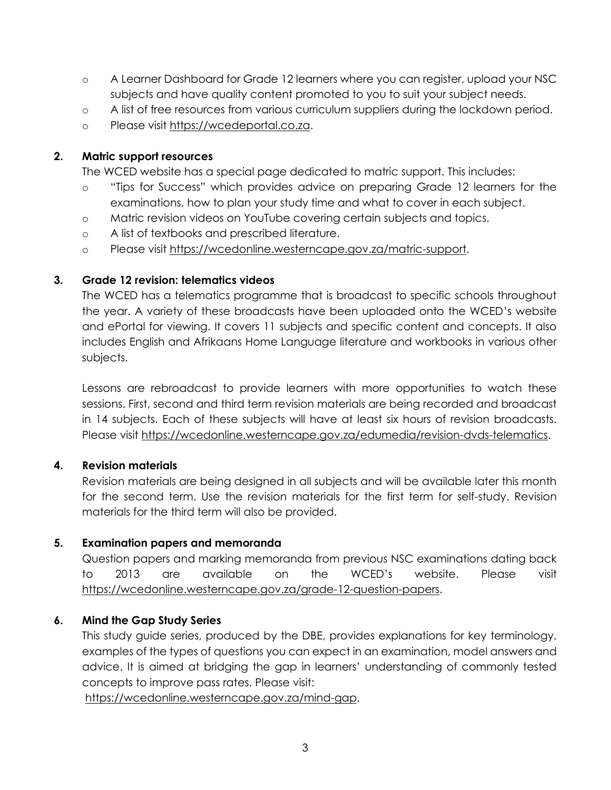- o A Learner Dashboard for Grade 12 learners where you can register, upload your NSC subjects and have quality content promoted to you to suit your subject needs.
- o A list of free resources from various curriculum suppliers during the lockdown period.
- o Please visit [https://wcedeportal.co.za.](https://wcedeportal.co.za/)

### **2. Matric support resources**

The WCED website has a special page dedicated to matric support. This includes:

- o "Tips for Success" which provides advice on preparing Grade 12 learners for the examinations, how to plan your study time and what to cover in each subject.
- o Matric revision videos on YouTube covering certain subjects and topics.
- o A list of textbooks and prescribed literature.
- o Please visit [https://wcedonline.westerncape.gov.za/matric-support.](https://wcedonline.westerncape.gov.za/matric-support)

## **3. Grade 12 revision: telematics videos**

The WCED has a telematics programme that is broadcast to specific schools throughout the year. A variety of these broadcasts have been uploaded onto the WCED's website and ePortal for viewing. It covers 11 subjects and specific content and concepts. It also includes English and Afrikaans Home Language literature and workbooks in various other subjects.

Lessons are rebroadcast to provide learners with more opportunities to watch these sessions. First, second and third term revision materials are being recorded and broadcast in 14 subjects. Each of these subjects will have at least six hours of revision broadcasts. Please visit [https://wcedonline.westerncape.gov.za/edumedia/revision-dvds-telematics.](https://wcedonline.westerncape.gov.za/edumedia/revision-dvds-telematics)

# **4. Revision materials**

Revision materials are being designed in all subjects and will be available later this month for the second term. Use the revision materials for the first term for self-study. Revision materials for the third term will also be provided.

# **5. Examination papers and memoranda**

Question papers and marking memoranda from previous NSC examinations dating back to 2013 are available on the WCED's website. Please visit [https://wcedonline.westerncape.gov.za/grade-12-question-papers.](https://wcedonline.westerncape.gov.za/grade-12-question-papers)

# **6. Mind the Gap Study Series**

This study guide series, produced by the DBE, provides explanations for key terminology, examples of the types of questions you can expect in an examination, model answers and advice. It is aimed at bridging the gap in learners' understanding of commonly tested concepts to improve pass rates. Please visit:

[https://wcedonline.westerncape.gov.za/mind-gap.](https://wcedonline.westerncape.gov.za/mind-gap)